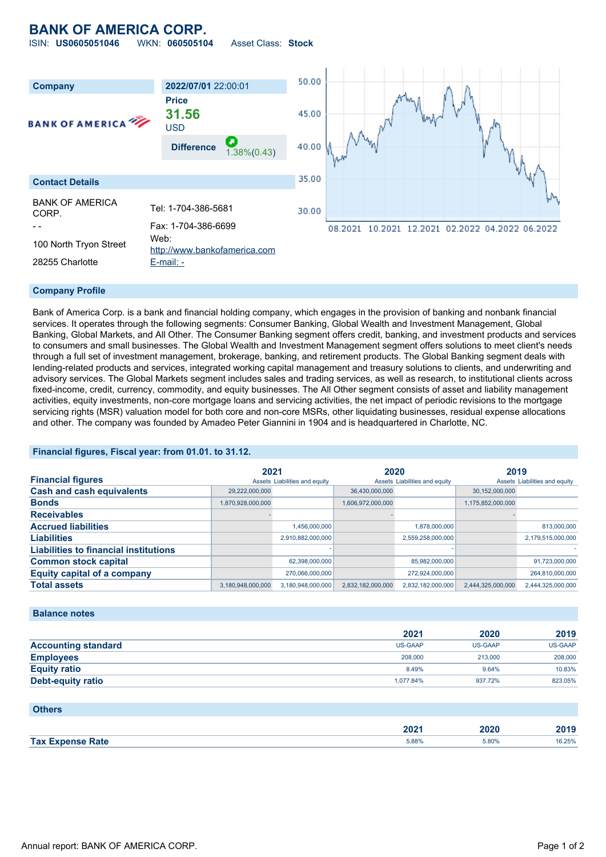### **BANK OF AMERICA CORP.** ISIN: **US0605051046** WKN: **060505104** Asset Class: **Stock**

50.00 **Company 2022/07/01** 22:00:01 **Price 31.56** 45.00 **BANK OF AMERICA** USD **Difference** 1.38%(0.43) 40.00 35.00 **Contact Details** BANK OF AMERICA CORP. Tel: 1-704-386-5681 30.00 - - Fax: 1-704-386-6699 08.2021 10.2021 12.2021 02.2022 04.2022 06.2022 100 North Tryon Street Web: [http://www.bankofamerica.com](http://www.bankofamerica.com/) 28255 Charlotte [E-mail: -](mailto:-)

#### **Company Profile**

Bank of America Corp. is a bank and financial holding company, which engages in the provision of banking and nonbank financial services. It operates through the following segments: Consumer Banking, Global Wealth and Investment Management, Global Banking, Global Markets, and All Other. The Consumer Banking segment offers credit, banking, and investment products and services to consumers and small businesses. The Global Wealth and Investment Management segment offers solutions to meet client's needs through a full set of investment management, brokerage, banking, and retirement products. The Global Banking segment deals with lending-related products and services, integrated working capital management and treasury solutions to clients, and underwriting and advisory services. The Global Markets segment includes sales and trading services, as well as research, to institutional clients across fixed-income, credit, currency, commodity, and equity businesses. The All Other segment consists of asset and liability management activities, equity investments, non-core mortgage loans and servicing activities, the net impact of periodic revisions to the mortgage servicing rights (MSR) valuation model for both core and non-core MSRs, other liquidating businesses, residual expense allocations and other. The company was founded by Amadeo Peter Giannini in 1904 and is headquartered in Charlotte, NC.

#### **Financial figures, Fiscal year: from 01.01. to 31.12.**

|                                              | 2021                          |                   | 2020                          |                   | 2019                          |                   |
|----------------------------------------------|-------------------------------|-------------------|-------------------------------|-------------------|-------------------------------|-------------------|
| <b>Financial figures</b>                     | Assets Liabilities and equity |                   | Assets Liabilities and equity |                   | Assets Liabilities and equity |                   |
| <b>Cash and cash equivalents</b>             | 29,222,000,000                |                   | 36,430,000,000                |                   | 30,152,000,000                |                   |
| <b>Bonds</b>                                 | 1,870,928,000,000             |                   | 1,606,972,000,000             |                   | 1,175,852,000,000             |                   |
| <b>Receivables</b>                           |                               |                   |                               |                   |                               |                   |
| <b>Accrued liabilities</b>                   |                               | 1,456,000,000     |                               | 1,878,000,000     |                               | 813,000,000       |
| <b>Liabilities</b>                           |                               | 2,910,882,000,000 |                               | 2.559.258.000.000 |                               | 2,179,515,000,000 |
| <b>Liabilities to financial institutions</b> |                               |                   |                               |                   |                               |                   |
| <b>Common stock capital</b>                  |                               | 62,398,000,000    |                               | 85,982,000,000    |                               | 91,723,000,000    |
| <b>Equity capital of a company</b>           |                               | 270,066,000,000   |                               | 272,924,000,000   |                               | 264,810,000,000   |
| <b>Total assets</b>                          | 3,180,948,000,000             | 3,180,948,000,000 | 2,832,182,000,000             | 2,832,182,000,000 | 2,444,325,000,000             | 2,444,325,000,000 |

#### **Balance notes**

|                            | 2021      | 2020    | 2019    |
|----------------------------|-----------|---------|---------|
| <b>Accounting standard</b> | US-GAAP   | US-GAAP | US-GAAP |
| <b>Employees</b>           | 208,000   | 213,000 | 208,000 |
| <b>Equity ratio</b>        | 8.49%     | 9.64%   | 10.83%  |
| <b>Debt-equity ratio</b>   | 1.077.84% | 937.72% | 823.05% |

#### **Others**

|                     | nnn.<br>ZUZ 1 | つのつの  | 2010<br>40 I J |
|---------------------|---------------|-------|----------------|
| Tax F               |               |       | 16.25%         |
| <b>Expense Rate</b> | 5.88%         | 5.80% |                |